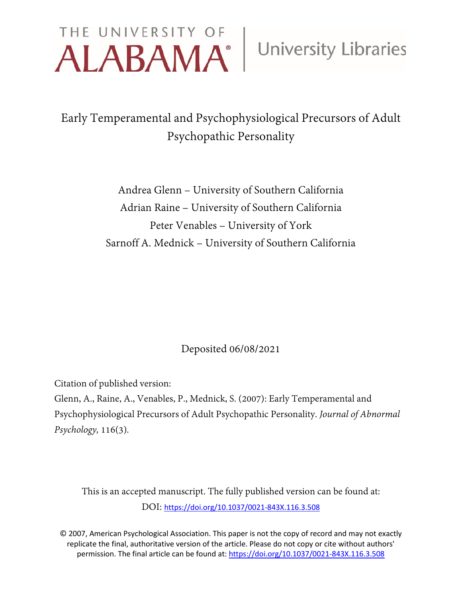# THE UNIVERSITY OF University Libraries

## Early Temperamental and Psychophysiological Precursors of Adult Psychopathic Personality

Andrea Glenn – University of Southern California Adrian Raine – University of Southern California Peter Venables – University of York Sarnoff A. Mednick – University of Southern California

### Deposited 06/08/2021

Citation of published version:

Glenn, A., Raine, A., Venables, P., Mednick, S. (2007): Early Temperamental and Psychophysiological Precursors of Adult Psychopathic Personality. *Journal of Abnormal Psychology,* 116(3)*.*

This is an accepted manuscript. The fully published version can be found at: DOI: [https://doi.org/10.1037/0021-843X.116.3.508](https://psycnet.apa.org/doi/10.1037/0021-843X.116.3.508)

© 2007, American Psychological Association. This paper is not the copy of record and may not exactly replicate the final, authoritative version of the article. Please do not copy or cite without authors' permission. The final article can be found at: [https://doi.org/10.1037/0021-843X.116.3.508](https://psycnet.apa.org/doi/10.1037/0021-843X.116.3.508)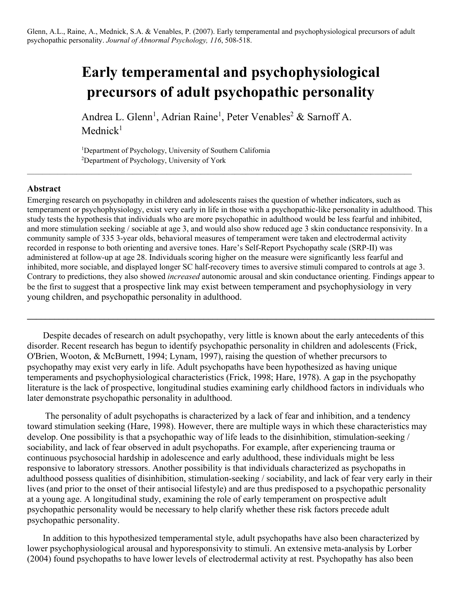Glenn, A.L., Raine, A., Mednick, S.A. & Venables, P. (2007). Early temperamental and psychophysiological precursors of adult psychopathic personality. *Journal of Abnormal Psychology, 116*, 508-518.

## **Early temperamental and psychophysiological precursors of adult psychopathic personality**

Andrea L. Glenn<sup>1</sup>, Adrian Raine<sup>1</sup>, Peter Venables<sup>2</sup> & Sarnoff A. Mednick<sup>1</sup>

 $\mathcal{L}_\mathcal{L} = \mathcal{L}_\mathcal{L} = \mathcal{L}_\mathcal{L} = \mathcal{L}_\mathcal{L} = \mathcal{L}_\mathcal{L} = \mathcal{L}_\mathcal{L} = \mathcal{L}_\mathcal{L} = \mathcal{L}_\mathcal{L} = \mathcal{L}_\mathcal{L} = \mathcal{L}_\mathcal{L} = \mathcal{L}_\mathcal{L} = \mathcal{L}_\mathcal{L} = \mathcal{L}_\mathcal{L} = \mathcal{L}_\mathcal{L} = \mathcal{L}_\mathcal{L} = \mathcal{L}_\mathcal{L} = \mathcal{L}_\mathcal{L}$ 

<sup>1</sup>Department of Psychology, University of Southern California 2 Department of Psychology, University of York

#### **Abstract**

Emerging research on psychopathy in children and adolescents raises the question of whether indicators, such as temperament or psychophysiology, exist very early in life in those with a psychopathic-like personality in adulthood. This study tests the hypothesis that individuals who are more psychopathic in adulthood would be less fearful and inhibited, and more stimulation seeking / sociable at age 3, and would also show reduced age 3 skin conductance responsivity. In a community sample of 335 3-year olds, behavioral measures of temperament were taken and electrodermal activity recorded in response to both orienting and aversive tones. Hare's Self-Report Psychopathy scale (SRP-II) was administered at follow-up at age 28. Individuals scoring higher on the measure were significantly less fearful and inhibited, more sociable, and displayed longer SC half-recovery times to aversive stimuli compared to controls at age 3. Contrary to predictions, they also showed *increased* autonomic arousal and skin conductance orienting. Findings appear to be the first to suggest that a prospective link may exist between temperament and psychophysiology in very young children, and psychopathic personality in adulthood.

**\_\_\_\_\_\_\_\_\_\_\_\_\_\_\_\_\_\_\_\_\_\_\_\_\_\_\_\_\_\_\_\_\_\_\_\_\_\_\_\_\_\_\_\_\_\_\_\_\_\_\_\_\_\_\_\_\_\_\_\_\_\_\_\_\_\_\_\_\_\_\_\_\_\_\_\_\_\_\_\_\_\_\_\_\_\_\_\_\_\_**

Despite decades of research on adult psychopathy, very little is known about the early antecedents of this disorder. Recent research has begun to identify psychopathic personality in children and adolescents (Frick, O'Brien, Wooton, & McBurnett, 1994; Lynam, 1997), raising the question of whether precursors to psychopathy may exist very early in life. Adult psychopaths have been hypothesized as having unique temperaments and psychophysiological characteristics (Frick, 1998; Hare, 1978). A gap in the psychopathy literature is the lack of prospective, longitudinal studies examining early childhood factors in individuals who later demonstrate psychopathic personality in adulthood.

The personality of adult psychopaths is characterized by a lack of fear and inhibition, and a tendency toward stimulation seeking (Hare, 1998). However, there are multiple ways in which these characteristics may develop. One possibility is that a psychopathic way of life leads to the disinhibition, stimulation-seeking / sociability, and lack of fear observed in adult psychopaths. For example, after experiencing trauma or continuous psychosocial hardship in adolescence and early adulthood, these individuals might be less responsive to laboratory stressors. Another possibility is that individuals characterized as psychopaths in adulthood possess qualities of disinhibition, stimulation-seeking / sociability, and lack of fear very early in their lives (and prior to the onset of their antisocial lifestyle) and are thus predisposed to a psychopathic personality at a young age. A longitudinal study, examining the role of early temperament on prospective adult psychopathic personality would be necessary to help clarify whether these risk factors precede adult psychopathic personality.

In addition to this hypothesized temperamental style, adult psychopaths have also been characterized by lower psychophysiological arousal and hyporesponsivity to stimuli. An extensive meta-analysis by Lorber (2004) found psychopaths to have lower levels of electrodermal activity at rest. Psychopathy has also been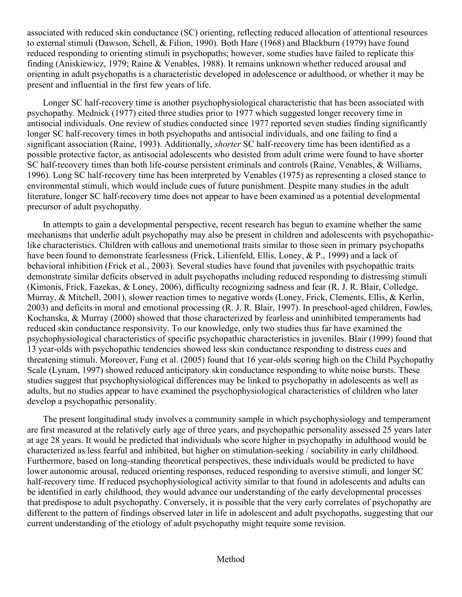associated with reduced skin conductance (SC) orienting, reflecting reduced allocation of attentional resources to external stimuli (Dawson, Schell, & Filion, 1990). Both Hare (1968) and Blackburn (1979) have found reduced responding to orienting stimuli in psychopaths; however, some studies have failed to replicate this finding (Aniskiewicz, 1979; Raine & Venables, 1988). It remains unknown whether reduced arousal and orienting in adult psychopaths is a characteristic developed in adolescence or adulthood, or whether it may be present and influential in the first few years of life.

Longer SC half-recovery time is another psychophysiological characteristic that has been associated with psychopathy. Mednick (1977) cited three studies prior to 1977 which suggested longer recovery time in antisocial individuals. One review of studies conducted since 1977 reported seven studies finding significantly longer SC half-recovery times in both psychopaths and antisocial individuals, and one failing to find a significant association (Raine, 1993). Additionally, *shorter* SC half-recovery time has been identified as a possible protective factor, as antisocial adolescents who desisted from adult crime were found to have shorter SC half-recovery times than both life-course persistent criminals and controls (Raine, Venables, & Williams, 1996). Long SC half-recovery time has been interpreted by Venables (1975) as representing a closed stance to environmental stimuli, which would include cues of future punishment. Despite many studies in the adult literature, longer SC half-recovery time does not appear to have been examined as a potential developmental precursor of adult psychopathy.

In attempts to gain a developmental perspective, recent research has begun to examine whether the same mechanisms that underlie adult psychopathy may also be present in children and adolescents with psychopathiclike characteristics. Children with callous and unemotional traits similar to those seen in primary psychopaths have been found to demonstrate fearlessness (Frick, Lilienfeld, Ellis, Loney, & P., 1999) and a lack of behavioral inhibition (Frick et al., 2003). Several studies have found that juveniles with psychopathic traits demonstrate similar deficits observed in adult psychopaths including reduced responding to distressing stimuli (Kimonis, Frick, Fazekas, & Loney, 2006), difficulty recognizing sadness and fear (R. J. R. Blair, Colledge, Murray, & Mitchell, 2001), slower reaction times to negative words (Loney, Frick, Clements, Ellis, & Kerlin, 2003) and deficits in moral and emotional processing (R. J. R. Blair, 1997). In preschool-aged children, Fowles, Kochanska, & Murray (2000) showed that those characterized by fearless and uninhibited temperaments had reduced skin conductance responsivity. To our knowledge, only two studies thus far have examined the psychophysiological characteristics of specific psychopathic characteristics in juveniles. Blair (1999) found that 13 year-olds with psychopathic tendencies showed less skin conductance responding to distress cues and threatening stimuli. Moreover, Fung et al. (2005) found that 16 year-olds scoring high on the Child Psychopathy Scale (Lynam, 1997) showed reduced anticipatory skin conductance responding to white noise bursts. These studies suggest that psychophysiological differences may be linked to psychopathy in adolescents as well as adults, but no studies appear to have examined the psychophysiological characteristics of children who later develop a psychopathic personality.

The present longitudinal study involves a community sample in which psychophysiology and temperament are first measured at the relatively early age of three years, and psychopathic personality assessed 25 years later at age 28 years. It would be predicted that individuals who score higher in psychopathy in adulthood would be characterized as less fearful and inhibited, but higher on stimulation-seeking / sociability in early childhood. Furthermore, based on long-standing theoretical perspectives, these individuals would be predicted to have lower autonomic arousal, reduced orienting responses, reduced responding to aversive stimuli, and longer SC half-recovery time. If reduced psychophysiological activity similar to that found in adolescents and adults can be identified in early childhood, they would advance our understanding of the early developmental processes that predispose to adult psychopathy. Conversely, it is possible that the very early correlates of psychopathy are different to the pattern of findings observed later in life in adolescent and adult psychopaths, suggesting that our current understanding of the etiology of adult psychopathy might require some revision.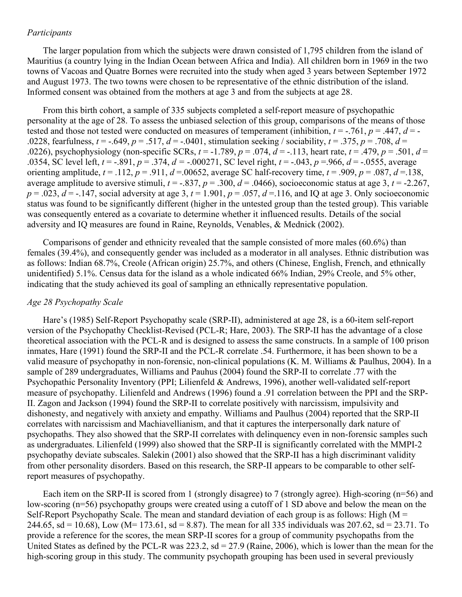#### *Participants*

The larger population from which the subjects were drawn consisted of 1,795 children from the island of Mauritius (a country lying in the Indian Ocean between Africa and India). All children born in 1969 in the two towns of Vacoas and Quatre Bornes were recruited into the study when aged 3 years between September 1972 and August 1973. The two towns were chosen to be representative of the ethnic distribution of the island. Informed consent was obtained from the mothers at age 3 and from the subjects at age 28.

From this birth cohort, a sample of 335 subjects completed a self-report measure of psychopathic personality at the age of 28. To assess the unbiased selection of this group, comparisons of the means of those tested and those not tested were conducted on measures of temperament (inhibition,  $t = -0.761$ ,  $p = 0.447$ ,  $d = -1$ .0228, fearfulness,  $t = -.649$ ,  $p = .517$ ,  $d = -.0401$ , stimulation seeking / sociability,  $t = .375$ ,  $p = .708$ ,  $d =$ .0226), psychophysiology (non-specific SCRs,  $t = -1.789$ ,  $p = .074$ ,  $d = -113$ , heart rate,  $t = .479$ ,  $p = .501$ ,  $d =$ .0354, SC level left, *t* = -.891, *p* = .374, *d =* -.000271, SC level right, *t* = -.043, *p* =.966, *d* = -.0555, average orienting amplitude,  $t = .112$ ,  $p = .911$ ,  $d = .00652$ , average SC half-recovery time,  $t = .909$ ,  $p = .087$ ,  $d = .138$ , average amplitude to aversive stimuli,  $t = -.837$ ,  $p = .300$ ,  $d = .0466$ ), socioeconomic status at age 3,  $t = -2.267$ ,  $p = .023$ ,  $d = -.147$ , social adversity at age 3,  $t = 1.901$ ,  $p = .057$ ,  $d = .116$ , and IQ at age 3. Only socioeconomic status was found to be significantly different (higher in the untested group than the tested group). This variable was consequently entered as a covariate to determine whether it influenced results. Details of the social adversity and IQ measures are found in Raine, Reynolds, Venables, & Mednick (2002).

Comparisons of gender and ethnicity revealed that the sample consisted of more males (60.6%) than females (39.4%), and consequently gender was included as a moderator in all analyses. Ethnic distribution was as follows: Indian 68.7%, Creole (African origin) 25.7%, and others (Chinese, English, French, and ethnically unidentified) 5.1%. Census data for the island as a whole indicated 66% Indian, 29% Creole, and 5% other, indicating that the study achieved its goal of sampling an ethnically representative population.

#### *Age 28 Psychopathy Scale*

Hare's (1985) Self-Report Psychopathy scale (SRP-II), administered at age 28, is a 60-item self-report version of the Psychopathy Checklist-Revised (PCL-R; Hare, 2003). The SRP-II has the advantage of a close theoretical association with the PCL-R and is designed to assess the same constructs. In a sample of 100 prison inmates, Hare (1991) found the SRP-II and the PCL-R correlate .54. Furthermore, it has been shown to be a valid measure of psychopathy in non-forensic, non-clinical populations (K. M. Williams & Paulhus, 2004). In a sample of 289 undergraduates, Williams and Pauhus (2004) found the SRP-II to correlate .77 with the Psychopathic Personality Inventory (PPI; Lilienfeld & Andrews, 1996), another well-validated self-report measure of psychopathy. Lilienfeld and Andrews (1996) found a .91 correlation between the PPI and the SRP-II. Zagon and Jackson (1994) found the SRP-II to correlate positively with narcissism, impulsivity and dishonesty, and negatively with anxiety and empathy. Williams and Paulhus (2004) reported that the SRP-II correlates with narcissism and Machiavellianism, and that it captures the interpersonally dark nature of psychopaths. They also showed that the SRP-II correlates with delinquency even in non-forensic samples such as undergraduates. Lilienfeld (1999) also showed that the SRP-II is significantly correlated with the MMPI-2 psychopathy deviate subscales. Salekin (2001) also showed that the SRP-II has a high discriminant validity from other personality disorders. Based on this research, the SRP-II appears to be comparable to other selfreport measures of psychopathy.

Each item on the SRP-II is scored from 1 (strongly disagree) to 7 (strongly agree). High-scoring (n=56) and low-scoring (n=56) psychopathy groups were created using a cutoff of 1 SD above and below the mean on the Self-Report Psychopathy Scale. The mean and standard deviation of each group is as follows: High  $(M =$ 244.65, sd = 10.68), Low (M= 173.61, sd = 8.87). The mean for all 335 individuals was 207.62, sd = 23.71. To provide a reference for the scores, the mean SRP-II scores for a group of community psychopaths from the United States as defined by the PCL-R was 223.2,  $sd = 27.9$  (Raine, 2006), which is lower than the mean for the high-scoring group in this study. The community psychopath grouping has been used in several previously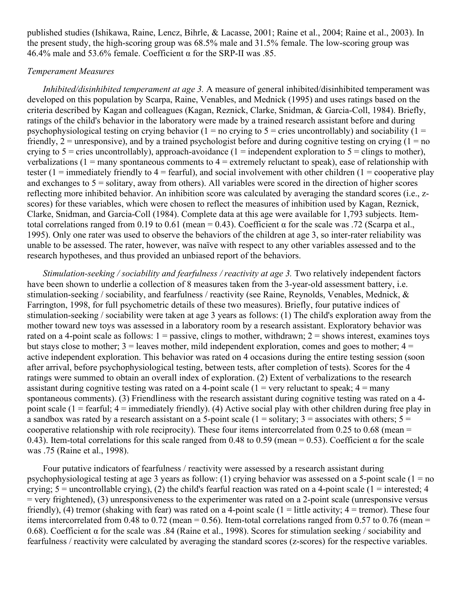published studies (Ishikawa, Raine, Lencz, Bihrle, & Lacasse, 2001; Raine et al., 2004; Raine et al., 2003). In the present study, the high-scoring group was 68.5% male and 31.5% female. The low-scoring group was 46.4% male and 53.6% female. Coefficient  $\alpha$  for the SRP-II was .85.

#### *Temperament Measures*

*Inhibited/disinhibited temperament at age 3.* A measure of general inhibited/disinhibited temperament was developed on this population by Scarpa, Raine, Venables, and Mednick (1995) and uses ratings based on the criteria described by Kagan and colleagues (Kagan, Reznick, Clarke, Snidman, & Garcia-Coll, 1984). Briefly, ratings of the child's behavior in the laboratory were made by a trained research assistant before and during psychophysiological testing on crying behavior (1 = no crying to  $5$  = cries uncontrollably) and sociability (1 = friendly,  $2 =$  unresponsive), and by a trained psychologist before and during cognitive testing on crying  $(1 =$  no crying to  $5$  = cries uncontrollably), approach-avoidance (1 = independent exploration to  $5$  = clings to mother), verbalizations ( $1 =$  many spontaneous comments to  $4 =$  extremely reluctant to speak), ease of relationship with tester (1 = immediately friendly to  $4 =$  fearful), and social involvement with other children (1 = cooperative play and exchanges to  $5 =$  solitary, away from others). All variables were scored in the direction of higher scores reflecting more inhibited behavior. An inhibition score was calculated by averaging the standard scores (i.e., zscores) for these variables, which were chosen to reflect the measures of inhibition used by Kagan, Reznick, Clarke, Snidman, and Garcia-Coll (1984). Complete data at this age were available for 1,793 subjects. Itemtotal correlations ranged from 0.19 to 0.61 (mean = 0.43). Coefficient α for the scale was .72 (Scarpa et al., 1995). Only one rater was used to observe the behaviors of the children at age 3, so inter-rater reliability was unable to be assessed. The rater, however, was naïve with respect to any other variables assessed and to the research hypotheses, and thus provided an unbiased report of the behaviors.

*Stimulation-seeking / sociability and fearfulness / reactivity at age 3. Two relatively independent factors* have been shown to underlie a collection of 8 measures taken from the 3-year-old assessment battery, i.e. stimulation-seeking / sociability, and fearfulness / reactivity (see Raine, Reynolds, Venables, Mednick, & Farrington, 1998, for full psychometric details of these two measures). Briefly, four putative indices of stimulation-seeking / sociability were taken at age 3 years as follows: (1) The child's exploration away from the mother toward new toys was assessed in a laboratory room by a research assistant. Exploratory behavior was rated on a 4-point scale as follows:  $1 =$  passive, clings to mother, withdrawn;  $2 =$  shows interest, examines toys but stays close to mother;  $3 =$  leaves mother, mild independent exploration, comes and goes to mother;  $4 =$ active independent exploration. This behavior was rated on 4 occasions during the entire testing session (soon after arrival, before psychophysiological testing, between tests, after completion of tests). Scores for the 4 ratings were summed to obtain an overall index of exploration. (2) Extent of verbalizations to the research assistant during cognitive testing was rated on a 4-point scale  $(1 = \text{very reluctant to speak}; 4 = \text{many})$ spontaneous comments). (3) Friendliness with the research assistant during cognitive testing was rated on a 4 point scale  $(1 =$  fearful;  $4 =$  immediately friendly). (4) Active social play with other children during free play in a sandbox was rated by a research assistant on a 5-point scale ( $1 =$ solitary;  $3 =$  associates with others;  $5 =$ cooperative relationship with role reciprocity). These four items intercorrelated from 0.25 to 0.68 (mean = 0.43). Item-total correlations for this scale ranged from 0.48 to 0.59 (mean = 0.53). Coefficient  $\alpha$  for the scale was .75 (Raine et al., 1998).

Four putative indicators of fearfulness / reactivity were assessed by a research assistant during psychophysiological testing at age 3 years as follow: (1) crying behavior was assessed on a 5-point scale ( $1 = no$ ) crying;  $5 =$  uncontrollable crying), (2) the child's fearful reaction was rated on a 4-point scale (1 = interested; 4 = very frightened), (3) unresponsiveness to the experimenter was rated on a 2-point scale (unresponsive versus friendly), (4) tremor (shaking with fear) was rated on a 4-point scale (1 = little activity;  $4 =$  tremor). These four items intercorrelated from 0.48 to 0.72 (mean = 0.56). Item-total correlations ranged from 0.57 to 0.76 (mean = 0.68). Coefficient α for the scale was .84 (Raine et al., 1998). Scores for stimulation seeking / sociability and fearfulness / reactivity were calculated by averaging the standard scores (z-scores) for the respective variables.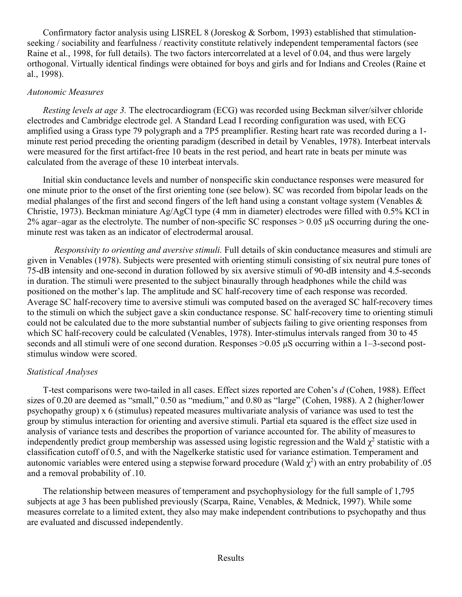Confirmatory factor analysis using LISREL 8 (Joreskog & Sorbom, 1993) established that stimulationseeking / sociability and fearfulness / reactivity constitute relatively independent temperamental factors (see Raine et al., 1998, for full details). The two factors intercorrelated at a level of 0.04, and thus were largely orthogonal. Virtually identical findings were obtained for boys and girls and for Indians and Creoles (Raine et al., 1998).

#### *Autonomic Measures*

*Resting levels at age 3.* The electrocardiogram (ECG) was recorded using Beckman silver/silver chloride electrodes and Cambridge electrode gel. A Standard Lead I recording configuration was used, with ECG amplified using a Grass type 79 polygraph and a 7P5 preamplifier. Resting heart rate was recorded during a 1 minute rest period preceding the orienting paradigm (described in detail by Venables, 1978). Interbeat intervals were measured for the first artifact-free 10 beats in the rest period, and heart rate in beats per minute was calculated from the average of these 10 interbeat intervals.

Initial skin conductance levels and number of nonspecific skin conductance responses were measured for one minute prior to the onset of the first orienting tone (see below). SC was recorded from bipolar leads on the medial phalanges of the first and second fingers of the left hand using a constant voltage system (Venables & Christie, 1973). Beckman miniature Ag/AgCl type (4 mm in diameter) electrodes were filled with 0.5% KCl in 2% agar–agar as the electrolyte. The number of non-specific SC responses  $> 0.05 \mu S$  occurring during the oneminute rest was taken as an indicator of electrodermal arousal.

*Responsivity to orienting and aversive stimuli.* Full details of skin conductance measures and stimuli are given in Venables (1978). Subjects were presented with orienting stimuli consisting of six neutral pure tones of 75-dB intensity and one-second in duration followed by six aversive stimuli of 90-dB intensity and 4.5-seconds in duration. The stimuli were presented to the subject binaurally through headphones while the child was positioned on the mother's lap. The amplitude and SC half-recovery time of each response was recorded. Average SC half-recovery time to aversive stimuli was computed based on the averaged SC half-recovery times to the stimuli on which the subject gave a skin conductance response. SC half-recovery time to orienting stimuli could not be calculated due to the more substantial number of subjects failing to give orienting responses from which SC half-recovery could be calculated (Venables, 1978). Inter-stimulus intervals ranged from 30 to 45 seconds and all stimuli were of one second duration. Responses >0.05 μS occurring within a 1–3-second poststimulus window were scored.

#### *Statistical Analyses*

T-test comparisons were two-tailed in all cases. Effect sizes reported are Cohen's *d* (Cohen, 1988). Effect sizes of 0.20 are deemed as "small," 0.50 as "medium," and 0.80 as "large" (Cohen, 1988). A 2 (higher/lower psychopathy group) x 6 (stimulus) repeated measures multivariate analysis of variance was used to test the group by stimulus interaction for orienting and aversive stimuli. Partial eta squared is the effect size used in analysis of variance tests and describes the proportion of variance accounted for. The ability of measuresto independently predict group membership was assessed using logistic regression and the Wald  $\chi^2$  statistic with a classification cutoff of 0.5, and with the Nagelkerke statistic used for variance estimation. Temperament and autonomic variables were entered using a stepwise forward procedure (Wald  $\chi^2$ ) with an entry probability of .05 and a removal probability of .10.

The relationship between measures of temperament and psychophysiology for the full sample of 1,795 subjects at age 3 has been published previously (Scarpa, Raine, Venables, & Mednick, 1997). While some measures correlate to a limited extent, they also may make independent contributions to psychopathy and thus are evaluated and discussed independently.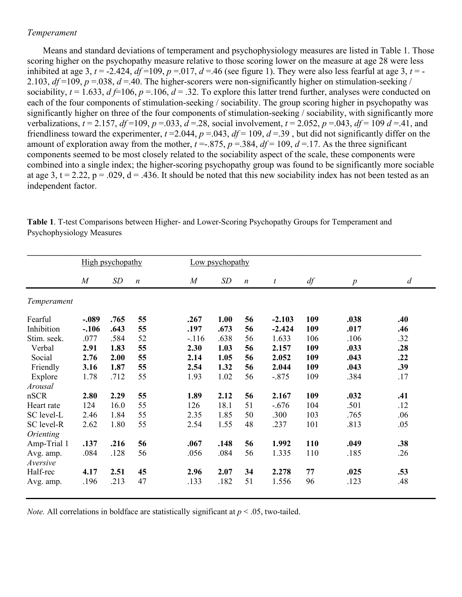#### *Temperament*

Means and standard deviations of temperament and psychophysiology measures are listed in Table 1. Those scoring higher on the psychopathy measure relative to those scoring lower on the measure at age 28 were less inhibited at age 3,  $t = -2.424$ ,  $df = 109$ ,  $p = .017$ ,  $d = .46$  (see figure 1). They were also less fearful at age 3,  $t = -$ 2.103,  $df = 109$ ,  $p = .038$ ,  $d = .40$ . The higher-scorers were non-significantly higher on stimulation-seeking / sociability,  $t = 1.633$ ,  $d \neq 106$ ,  $p = 106$ ,  $d = 0.32$ . To explore this latter trend further, analyses were conducted on each of the four components of stimulation-seeking / sociability. The group scoring higher in psychopathy was significantly higher on three of the four components of stimulation-seeking / sociability, with significantly more verbalizations,  $t = 2.157$ ,  $df = 109$ ,  $p = .033$ ,  $d = .28$ , social involvement,  $t = 2.052$ ,  $p = .043$ ,  $df = 109$   $d = .41$ , and friendliness toward the experimenter,  $t = 2.044$ ,  $p = 0.043$ ,  $df = 109$ ,  $d = 0.39$ , but did not significantly differ on the amount of exploration away from the mother,  $t = 0.875$ ,  $p = 0.384$ ,  $df = 109$ ,  $d = 0.17$ . As the three significant components seemed to be most closely related to the sociability aspect of the scale, these components were combined into a single index; the higher-scoring psychopathy group was found to be significantly more sociable at age 3, t = 2.22, p = .029, d = .436. It should be noted that this new sociability index has not been tested as an independent factor.

|             | High psychopathy |      |                  | Low psychopathy |      |                  |                  |     |                  |                  |
|-------------|------------------|------|------------------|-----------------|------|------------------|------------------|-----|------------------|------------------|
|             | $\overline{M}$   | SD   | $\boldsymbol{n}$ | $\overline{M}$  | SD   | $\boldsymbol{n}$ | $\boldsymbol{t}$ | df  | $\boldsymbol{p}$ | $\boldsymbol{d}$ |
| Temperament |                  |      |                  |                 |      |                  |                  |     |                  |                  |
| Fearful     | $-.089$          | .765 | 55               | .267            | 1.00 | 56               | $-2.103$         | 109 | .038             | .40              |
| Inhibition  | $-.106$          | .643 | 55               | .197            | .673 | 56               | $-2.424$         | 109 | .017             | .46              |
| Stim. seek. | .077             | .584 | 52               | $-116$          | .638 | 56               | 1.633            | 106 | .106             | .32              |
| Verbal      | 2.91             | 1.83 | 55               | 2.30            | 1.03 | 56               | 2.157            | 109 | .033             | .28              |
| Social      | 2.76             | 2.00 | 55               | 2.14            | 1.05 | 56               | 2.052            | 109 | .043             | .22              |
| Friendly    | 3.16             | 1.87 | 55               | 2.54            | 1.32 | 56               | 2.044            | 109 | .043             | .39              |
| Explore     | 1.78             | .712 | 55               | 1.93            | 1.02 | 56               | $-.875$          | 109 | .384             | .17              |
| Arousal     |                  |      |                  |                 |      |                  |                  |     |                  |                  |
| nSCR        | 2.80             | 2.29 | 55               | 1.89            | 2.12 | 56               | 2.167            | 109 | .032             | .41              |
| Heart rate  | 124              | 16.0 | 55               | 126             | 18.1 | 51               | $-.676$          | 104 | .501             | .12              |
| SC level-L  | 2.46             | 1.84 | 55               | 2.35            | 1.85 | 50               | .300             | 103 | .765             | .06              |
| SC level-R  | 2.62             | 1.80 | 55               | 2.54            | 1.55 | 48               | .237             | 101 | .813             | .05              |
| Orienting   |                  |      |                  |                 |      |                  |                  |     |                  |                  |
| Amp-Trial 1 | .137             | .216 | 56               | .067            | .148 | 56               | 1.992            | 110 | .049             | .38              |
| Avg. amp.   | .084             | .128 | 56               | .056            | .084 | 56               | 1.335            | 110 | .185             | .26              |
| Aversive    |                  |      |                  |                 |      |                  |                  |     |                  |                  |
| Half-rec    | 4.17             | 2.51 | 45               | 2.96            | 2.07 | 34               | 2.278            | 77  | .025             | .53              |
| Avg. amp.   | .196             | .213 | 47               | .133            | .182 | 51               | 1.556            | 96  | .123             | .48              |

**Table 1**. T-test Comparisons between Higher- and Lower-Scoring Psychopathy Groups for Temperament and Psychophysiology Measures

*Note.* All correlations in boldface are statistically significant at  $p < .05$ , two-tailed.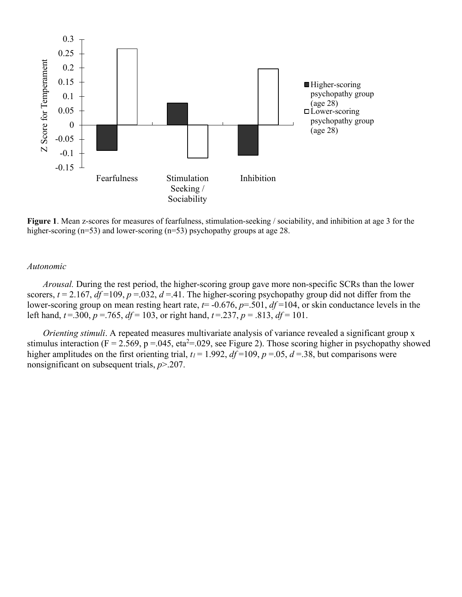

**Figure 1**. Mean z-scores for measures of fearfulness, stimulation-seeking / sociability, and inhibition at age 3 for the higher-scoring (n=53) and lower-scoring (n=53) psychopathy groups at age 28.

#### *Autonomic*

*Arousal.* During the rest period, the higher-scoring group gave more non-specific SCRs than the lower scorers,  $t = 2.167$ ,  $df = 109$ ,  $p = .032$ ,  $d = .41$ . The higher-scoring psychopathy group did not differ from the lower-scoring group on mean resting heart rate, *t*= -0.676, *p*=.501, *df* =104, or skin conductance levels in the left hand,  $t = .300$ ,  $p = .765$ ,  $df = 103$ , or right hand,  $t = .237$ ,  $p = .813$ ,  $df = 101$ .

*Orienting stimuli*. A repeated measures multivariate analysis of variance revealed a significant group x stimulus interaction ( $F = 2.569$ ,  $p = 0.045$ , eta<sup>2</sup>= 0.029, see Figure 2). Those scoring higher in psychopathy showed higher amplitudes on the first orienting trial,  $t_1 = 1.992$ ,  $df = 109$ ,  $p = .05$ ,  $d = .38$ , but comparisons were nonsignificant on subsequent trials, *p*>.207.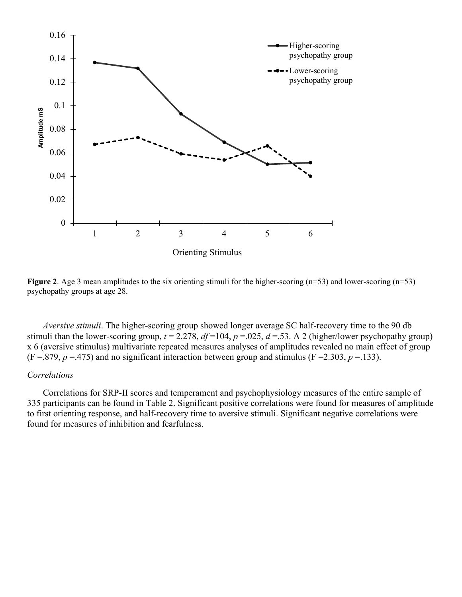



*Aversive stimuli*. The higher-scoring group showed longer average SC half-recovery time to the 90 db stimuli than the lower-scoring group,  $t = 2.278$ ,  $df = 104$ ,  $p = .025$ ,  $d = .53$ . A 2 (higher/lower psychopathy group) x 6 (aversive stimulus) multivariate repeated measures analyses of amplitudes revealed no main effect of group  $(F = .879, p = .475)$  and no significant interaction between group and stimulus  $(F = 2.303, p = .133)$ .

#### *Correlations*

Correlations for SRP-II scores and temperament and psychophysiology measures of the entire sample of 335 participants can be found in Table 2. Significant positive correlations were found for measures of amplitude to first orienting response, and half-recovery time to aversive stimuli. Significant negative correlations were found for measures of inhibition and fearfulness.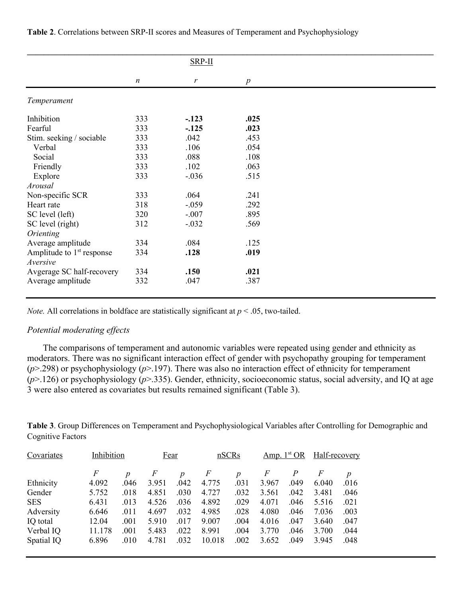|                                       |                  | $SRP-II$ |                  |  |
|---------------------------------------|------------------|----------|------------------|--|
|                                       | $\boldsymbol{n}$ | r        | $\boldsymbol{p}$ |  |
| Temperament                           |                  |          |                  |  |
| Inhibition                            | 333              | $-.123$  | .025             |  |
| Fearful                               | 333              | $-125$   | .023             |  |
| Stim. seeking / sociable              | 333              | .042     | .453             |  |
| Verbal                                | 333              | .106     | .054             |  |
| Social                                | 333              | .088     | .108             |  |
| Friendly                              | 333              | .102     | .063             |  |
| Explore                               | 333              | $-.036$  | .515             |  |
| Arousal                               |                  |          |                  |  |
| Non-specific SCR                      | 333              | .064     | .241             |  |
| Heart rate                            | 318              | $-.059$  | .292             |  |
| SC level (left)                       | 320              | $-.007$  | .895             |  |
| SC level (right)                      | 312              | $-.032$  | .569             |  |
| Orienting                             |                  |          |                  |  |
| Average amplitude                     | 334              | .084     | .125             |  |
| Amplitude to 1 <sup>st</sup> response | 334              | .128     | .019             |  |
| Aversive                              |                  |          |                  |  |
| Avgerage SC half-recovery             | 334              | .150     | .021             |  |
| Average amplitude                     | 332              | .047     | .387             |  |

**Table 2**. Correlations between SRP-II scores and Measures of Temperament and Psychophysiology

*Note.* All correlations in boldface are statistically significant at *p* < .05, two-tailed.

#### *Potential moderating effects*

The comparisons of temperament and autonomic variables were repeated using gender and ethnicity as moderators. There was no significant interaction effect of gender with psychopathy grouping for temperament (*p*>.298) or psychophysiology (*p*>.197). There was also no interaction effect of ethnicity for temperament (*p*>.126) or psychophysiology (*p*>.335). Gender, ethnicity, socioeconomic status, social adversity, and IQ at age 3 were also entered as covariates but results remained significant (Table 3).

**Table 3**. Group Differences on Temperament and Psychophysiological Variables after Controlling for Demographic and Cognitive Factors

| Covariates |        | Inhibition       |       | <b>Fear</b>      |        | nSCRs            |       | Amp. $1st OR$  |       | Half-recovery    |  |
|------------|--------|------------------|-------|------------------|--------|------------------|-------|----------------|-------|------------------|--|
|            | F      | $\boldsymbol{p}$ | F     | $\boldsymbol{p}$ | F      | $\boldsymbol{p}$ | F     | $\overline{P}$ | F     | $\boldsymbol{p}$ |  |
| Ethnicity  | 4.092  | .046             | 3.951 | .042             | 4.775  | .031             | 3.967 | .049           | 6.040 | .016             |  |
| Gender     | 5.752  | .018             | 4.851 | .030             | 4.727  | .032             | 3.561 | .042           | 3.481 | .046             |  |
| <b>SES</b> | 6.431  | .013             | 4.526 | .036             | 4.892  | .029             | 4.071 | .046           | 5.516 | .021             |  |
| Adversity  | 6.646  | .011             | 4.697 | .032             | 4.985  | .028             | 4.080 | .046           | 7.036 | .003             |  |
| IQ total   | 12.04  | .001             | 5.910 | .017             | 9.007  | .004             | 4.016 | .047           | 3.640 | .047             |  |
| Verbal IQ  | 11.178 | .001             | 5.483 | .022             | 8.991  | .004             | 3.770 | .046           | 3.700 | .044             |  |
| Spatial IQ | 6.896  | .010             | 4.781 | .032             | 10.018 | .002             | 3.652 | .049           | 3.945 | .048             |  |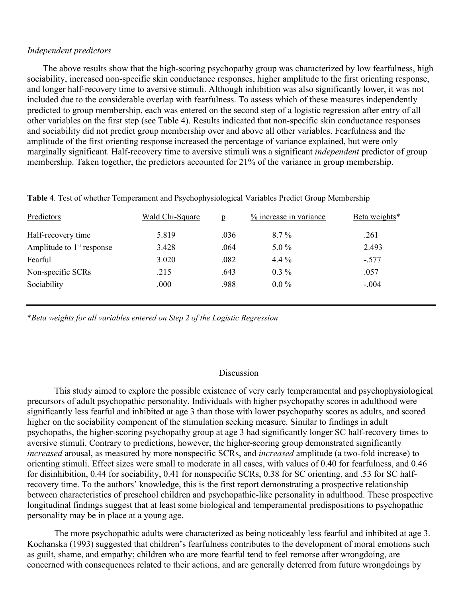#### *Independent predictors*

The above results show that the high-scoring psychopathy group was characterized by low fearfulness, high sociability, increased non-specific skin conductance responses, higher amplitude to the first orienting response, and longer half-recovery time to aversive stimuli. Although inhibition was also significantly lower, it was not included due to the considerable overlap with fearfulness. To assess which of these measures independently predicted to group membership, each was entered on the second step of a logistic regression after entry of all other variables on the first step (see Table 4). Results indicated that non-specific skin conductance responses and sociability did not predict group membership over and above all other variables. Fearfulness and the amplitude of the first orienting response increased the percentage of variance explained, but were only marginally significant. Half-recovery time to aversive stimuli was a significant *independent* predictor of group membership. Taken together, the predictors accounted for 21% of the variance in group membership.

| Predictors                            | Wald Chi-Square | $\mathbf{p}$ | % increase in variance | Beta weights* |
|---------------------------------------|-----------------|--------------|------------------------|---------------|
| Half-recovery time                    | 5.819           | .036         | $8.7\%$                | .261          |
| Amplitude to 1 <sup>st</sup> response | 3.428           | .064         | $5.0\%$                | 2.493         |
| Fearful                               | 3.020           | .082         | 4.4 $%$                | $-.577$       |
| Non-specific SCRs                     | .215            | .643         | $0.3\%$                | .057          |
| Sociability                           | .000            | .988         | $0.0\%$                | $-.004$       |
|                                       |                 |              |                        |               |

**Table 4**. Test of whether Temperament and Psychophysiological Variables Predict Group Membership

\**Beta weights for all variables entered on Step 2 of the Logistic Regression*

#### Discussion

This study aimed to explore the possible existence of very early temperamental and psychophysiological precursors of adult psychopathic personality. Individuals with higher psychopathy scores in adulthood were significantly less fearful and inhibited at age 3 than those with lower psychopathy scores as adults, and scored higher on the sociability component of the stimulation seeking measure. Similar to findings in adult psychopaths, the higher-scoring psychopathy group at age 3 had significantly longer SC half-recovery times to aversive stimuli. Contrary to predictions, however, the higher-scoring group demonstrated significantly *increased* arousal, as measured by more nonspecific SCRs, and *increased* amplitude (a two-fold increase) to orienting stimuli. Effect sizes were small to moderate in all cases, with values of 0.40 for fearfulness, and 0.46 for disinhibition, 0.44 for sociability, 0.41 for nonspecific SCRs, 0.38 for SC orienting, and .53 for SC halfrecovery time. To the authors' knowledge, this is the first report demonstrating a prospective relationship between characteristics of preschool children and psychopathic-like personality in adulthood. These prospective longitudinal findings suggest that at least some biological and temperamental predispositions to psychopathic personality may be in place at a young age.

The more psychopathic adults were characterized as being noticeably less fearful and inhibited at age 3. Kochanska (1993) suggested that children's fearfulness contributes to the development of moral emotions such as guilt, shame, and empathy; children who are more fearful tend to feel remorse after wrongdoing, are concerned with consequences related to their actions, and are generally deterred from future wrongdoings by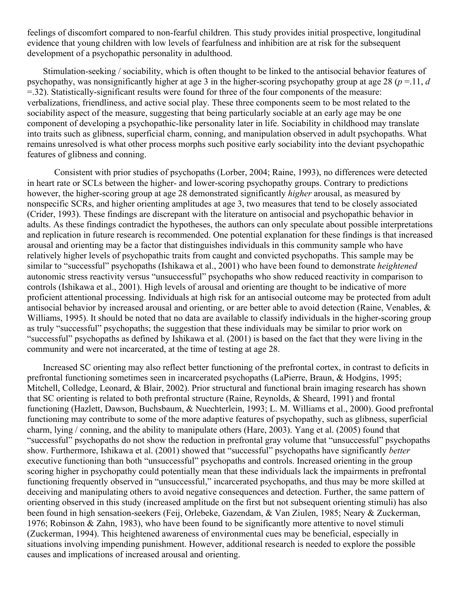feelings of discomfort compared to non-fearful children. This study provides initial prospective, longitudinal evidence that young children with low levels of fearfulness and inhibition are at risk for the subsequent development of a psychopathic personality in adulthood.

Stimulation-seeking / sociability, which is often thought to be linked to the antisocial behavior features of psychopathy, was nonsignificantly higher at age 3 in the higher-scoring psychopathy group at age 28 (*p* =.11, *d*  =.32). Statistically-significant results were found for three of the four components of the measure: verbalizations, friendliness, and active social play. These three components seem to be most related to the sociability aspect of the measure, suggesting that being particularly sociable at an early age may be one component of developing a psychopathic-like personality later in life. Sociability in childhood may translate into traits such as glibness, superficial charm, conning, and manipulation observed in adult psychopaths. What remains unresolved is what other process morphs such positive early sociability into the deviant psychopathic features of glibness and conning.

Consistent with prior studies of psychopaths (Lorber, 2004; Raine, 1993), no differences were detected in heart rate or SCLs between the higher- and lower-scoring psychopathy groups. Contrary to predictions however, the higher-scoring group at age 28 demonstrated significantly *higher* arousal, as measured by nonspecific SCRs, and higher orienting amplitudes at age 3, two measures that tend to be closely associated (Crider, 1993). These findings are discrepant with the literature on antisocial and psychopathic behavior in adults. As these findings contradict the hypotheses, the authors can only speculate about possible interpretations and replication in future research is recommended. One potential explanation for these findings is that increased arousal and orienting may be a factor that distinguishes individuals in this community sample who have relatively higher levels of psychopathic traits from caught and convicted psychopaths. This sample may be similar to "successful" psychopaths (Ishikawa et al., 2001) who have been found to demonstrate *heightened* autonomic stress reactivity versus "unsuccessful" psychopaths who show reduced reactivity in comparison to controls (Ishikawa et al., 2001). High levels of arousal and orienting are thought to be indicative of more proficient attentional processing. Individuals at high risk for an antisocial outcome may be protected from adult antisocial behavior by increased arousal and orienting, or are better able to avoid detection (Raine, Venables, & Williams, 1995). It should be noted that no data are available to classify individuals in the higher-scoring group as truly "successful" psychopaths; the suggestion that these individuals may be similar to prior work on "successful" psychopaths as defined by Ishikawa et al. (2001) is based on the fact that they were living in the community and were not incarcerated, at the time of testing at age 28.

Increased SC orienting may also reflect better functioning of the prefrontal cortex, in contrast to deficits in prefrontal functioning sometimes seen in incarcerated psychopaths (LaPierre, Braun, & Hodgins, 1995; Mitchell, Colledge, Leonard, & Blair, 2002). Prior structural and functional brain imaging research has shown that SC orienting is related to both prefrontal structure (Raine, Reynolds, & Sheard, 1991) and frontal functioning (Hazlett, Dawson, Buchsbaum, & Nuechterlein, 1993; L. M. Williams et al., 2000). Good prefrontal functioning may contribute to some of the more adaptive features of psychopathy, such as glibness, superficial charm, lying / conning, and the ability to manipulate others (Hare, 2003). Yang et al. (2005) found that "successful" psychopaths do not show the reduction in prefrontal gray volume that "unsuccessful" psychopaths show. Furthermore, Ishikawa et al. (2001) showed that "successful" psychopaths have significantly *better* executive functioning than both "unsuccessful" psychopaths and controls. Increased orienting in the group scoring higher in psychopathy could potentially mean that these individuals lack the impairments in prefrontal functioning frequently observed in "unsuccessful," incarcerated psychopaths, and thus may be more skilled at deceiving and manipulating others to avoid negative consequences and detection. Further, the same pattern of orienting observed in this study (increased amplitude on the first but not subsequent orienting stimuli) has also been found in high sensation-seekers (Feij, Orlebeke, Gazendam, & Van Ziulen, 1985; Neary & Zuckerman, 1976; Robinson & Zahn, 1983), who have been found to be significantly more attentive to novel stimuli (Zuckerman, 1994). This heightened awareness of environmental cues may be beneficial, especially in situations involving impending punishment. However, additional research is needed to explore the possible causes and implications of increased arousal and orienting.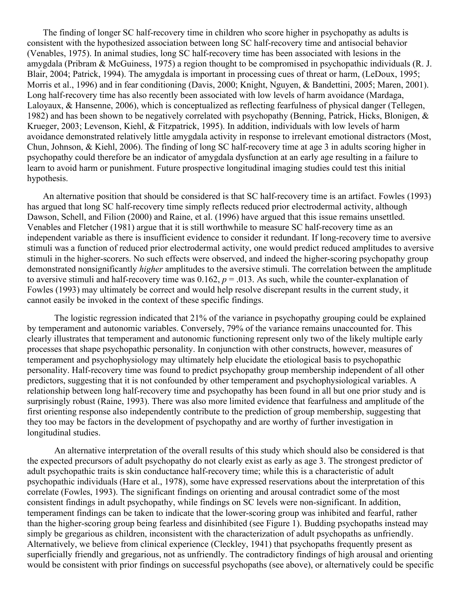The finding of longer SC half-recovery time in children who score higher in psychopathy as adults is consistent with the hypothesized association between long SC half-recovery time and antisocial behavior (Venables, 1975). In animal studies, long SC half-recovery time has been associated with lesions in the amygdala (Pribram & McGuiness, 1975) a region thought to be compromised in psychopathic individuals (R. J. Blair, 2004; Patrick, 1994). The amygdala is important in processing cues of threat or harm, (LeDoux, 1995; Morris et al., 1996) and in fear conditioning (Davis, 2000; Knight, Nguyen, & Bandettini, 2005; Maren, 2001). Long half-recovery time has also recently been associated with low levels of harm avoidance (Mardaga, Laloyaux, & Hansenne, 2006), which is conceptualized as reflecting fearfulness of physical danger (Tellegen, 1982) and has been shown to be negatively correlated with psychopathy (Benning, Patrick, Hicks, Blonigen, & Krueger, 2003; Levenson, Kiehl, & Fitzpatrick, 1995). In addition, individuals with low levels of harm avoidance demonstrated relatively little amygdala activity in response to irrelevant emotional distractors (Most, Chun, Johnson, & Kiehl, 2006). The finding of long SC half-recovery time at age 3 in adults scoring higher in psychopathy could therefore be an indicator of amygdala dysfunction at an early age resulting in a failure to learn to avoid harm or punishment. Future prospective longitudinal imaging studies could test this initial hypothesis.

An alternative position that should be considered is that SC half-recovery time is an artifact. Fowles (1993) has argued that long SC half-recovery time simply reflects reduced prior electrodermal activity, although Dawson, Schell, and Filion (2000) and Raine, et al. (1996) have argued that this issue remains unsettled. Venables and Fletcher (1981) argue that it is still worthwhile to measure SC half-recovery time as an independent variable as there is insufficient evidence to consider it redundant. If long-recovery time to aversive stimuli was a function of reduced prior electrodermal activity, one would predict reduced amplitudes to aversive stimuli in the higher-scorers. No such effects were observed, and indeed the higher-scoring psychopathy group demonstrated nonsignificantly *higher* amplitudes to the aversive stimuli. The correlation between the amplitude to aversive stimuli and half-recovery time was  $0.162$ ,  $p = .013$ . As such, while the counter-explanation of Fowles (1993) may ultimately be correct and would help resolve discrepant results in the current study, it cannot easily be invoked in the context of these specific findings.

The logistic regression indicated that 21% of the variance in psychopathy grouping could be explained by temperament and autonomic variables. Conversely, 79% of the variance remains unaccounted for. This clearly illustrates that temperament and autonomic functioning represent only two of the likely multiple early processes that shape psychopathic personality. In conjunction with other constructs, however, measures of temperament and psychophysiology may ultimately help elucidate the etiological basis to psychopathic personality. Half-recovery time was found to predict psychopathy group membership independent of all other predictors, suggesting that it is not confounded by other temperament and psychophysiological variables. A relationship between long half-recovery time and psychopathy has been found in all but one prior study and is surprisingly robust (Raine, 1993). There was also more limited evidence that fearfulness and amplitude of the first orienting response also independently contribute to the prediction of group membership, suggesting that they too may be factors in the development of psychopathy and are worthy of further investigation in longitudinal studies.

An alternative interpretation of the overall results of this study which should also be considered is that the expected precursors of adult psychopathy do not clearly exist as early as age 3. The strongest predictor of adult psychopathic traits is skin conductance half-recovery time; while this is a characteristic of adult psychopathic individuals (Hare et al., 1978), some have expressed reservations about the interpretation of this correlate (Fowles, 1993). The significant findings on orienting and arousal contradict some of the most consistent findings in adult psychopathy, while findings on SC levels were non-significant. In addition, temperament findings can be taken to indicate that the lower-scoring group was inhibited and fearful, rather than the higher-scoring group being fearless and disinhibited (see Figure 1). Budding psychopaths instead may simply be gregarious as children, inconsistent with the characterization of adult psychopaths as unfriendly. Alternatively, we believe from clinical experience (Cleckley, 1941) that psychopaths frequently present as superficially friendly and gregarious, not as unfriendly. The contradictory findings of high arousal and orienting would be consistent with prior findings on successful psychopaths (see above), or alternatively could be specific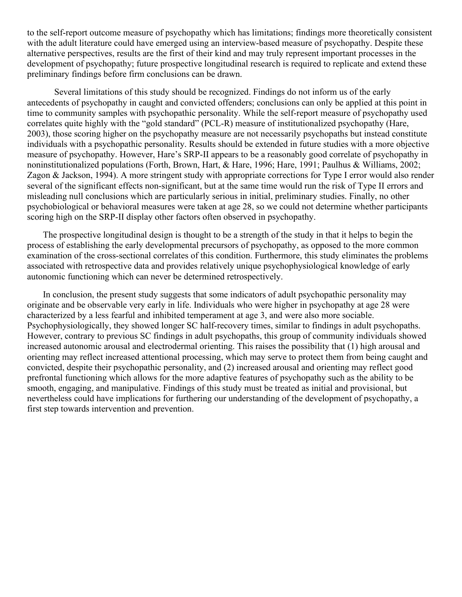to the self-report outcome measure of psychopathy which has limitations; findings more theoretically consistent with the adult literature could have emerged using an interview-based measure of psychopathy. Despite these alternative perspectives, results are the first of their kind and may truly represent important processes in the development of psychopathy; future prospective longitudinal research is required to replicate and extend these preliminary findings before firm conclusions can be drawn.

Several limitations of this study should be recognized. Findings do not inform us of the early antecedents of psychopathy in caught and convicted offenders; conclusions can only be applied at this point in time to community samples with psychopathic personality. While the self-report measure of psychopathy used correlates quite highly with the "gold standard" (PCL-R) measure of institutionalized psychopathy (Hare, 2003), those scoring higher on the psychopathy measure are not necessarily psychopaths but instead constitute individuals with a psychopathic personality. Results should be extended in future studies with a more objective measure of psychopathy. However, Hare's SRP-II appears to be a reasonably good correlate of psychopathy in noninstitutionalized populations (Forth, Brown, Hart, & Hare, 1996; Hare, 1991; Paulhus & Williams, 2002; Zagon & Jackson, 1994). A more stringent study with appropriate corrections for Type I error would also render several of the significant effects non-significant, but at the same time would run the risk of Type II errors and misleading null conclusions which are particularly serious in initial, preliminary studies. Finally, no other psychobiological or behavioral measures were taken at age 28, so we could not determine whether participants scoring high on the SRP-II display other factors often observed in psychopathy.

The prospective longitudinal design is thought to be a strength of the study in that it helps to begin the process of establishing the early developmental precursors of psychopathy, as opposed to the more common examination of the cross-sectional correlates of this condition. Furthermore, this study eliminates the problems associated with retrospective data and provides relatively unique psychophysiological knowledge of early autonomic functioning which can never be determined retrospectively.

In conclusion, the present study suggests that some indicators of adult psychopathic personality may originate and be observable very early in life. Individuals who were higher in psychopathy at age 28 were characterized by a less fearful and inhibited temperament at age 3, and were also more sociable. Psychophysiologically, they showed longer SC half-recovery times, similar to findings in adult psychopaths. However, contrary to previous SC findings in adult psychopaths, this group of community individuals showed increased autonomic arousal and electrodermal orienting. This raises the possibility that (1) high arousal and orienting may reflect increased attentional processing, which may serve to protect them from being caught and convicted, despite their psychopathic personality, and (2) increased arousal and orienting may reflect good prefrontal functioning which allows for the more adaptive features of psychopathy such as the ability to be smooth, engaging, and manipulative. Findings of this study must be treated as initial and provisional, but nevertheless could have implications for furthering our understanding of the development of psychopathy, a first step towards intervention and prevention.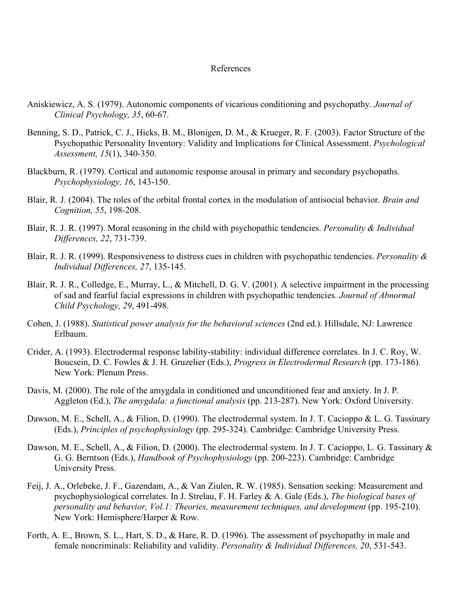#### References

- Aniskiewicz, A. S. (1979). Autonomic components of vicarious conditioning and psychopathy. *Journal of Clinical Psychology, 35*, 60-67.
- Benning, S. D., Patrick, C. J., Hicks, B. M., Blonigen, D. M., & Krueger, R. F. (2003). Factor Structure of the Psychopathic Personality Inventory: Validity and Implications for Clinical Assessment. *Psychological Assessment, 15*(1), 340-350.
- Blackburn, R. (1979). Cortical and autonomic response arousal in primary and secondary psychopaths. *Psychophysiology, 16*, 143-150.
- Blair, R. J. (2004). The roles of the orbital frontal cortex in the modulation of antisocial behavior. *Brain and Cognition, 55*, 198-208.
- Blair, R. J. R. (1997). Moral reasoning in the child with psychopathic tendencies. *Personality & Individual Differences, 22*, 731-739.
- Blair, R. J. R. (1999). Responsiveness to distress cues in children with psychopathic tendencies. *Personality & Individual Differences, 27*, 135-145.
- Blair, R. J. R., Colledge, E., Murray, L., & Mitchell, D. G. V. (2001). A selective impairment in the processing of sad and fearful facial expressions in children with psychopathic tendencies. *Journal of Abnormal Child Psychology, 29*, 491-498.
- Cohen, J. (1988). *Statistical power analysis for the behavioral sciences* (2nd ed.). Hillsdale, NJ: Lawrence Erlbaum.
- Crider, A. (1993). Electrodermal response lability-stability: individual difference correlates. In J. C. Roy, W. Boucsein, D. C. Fowles & J. H. Gruzelier (Eds.), *Progress in Electrodermal Research* (pp. 173-186). New York: Plenum Press.
- Davis, M. (2000). The role of the amygdala in conditioned and unconditioned fear and anxiety. In J. P. Aggleton (Ed.), *The amygdala: a functional analysis* (pp. 213-287). New York: Oxford University.
- Dawson, M. E., Schell, A., & Filion, D. (1990). The electrodermal system. In J. T. Cacioppo & L. G. Tassinary (Eds.), *Principles of psychophysiology* (pp. 295-324). Cambridge: Cambridge University Press.
- Dawson, M. E., Schell, A., & Filion, D. (2000). The electrodermal system. In J. T. Cacioppo, L. G. Tassinary & G. G. Berntson (Eds.), *Handbook of Psychophysiology* (pp. 200-223). Cambridge: Cambridge University Press.
- Feij, J. A., Orlebeke, J. F., Gazendam, A., & Van Ziulen, R. W. (1985). Sensation seeking: Measurement and psychophysiological correlates. In J. Strelau, F. H. Farley & A. Gale (Eds.), *The biological bases of personality and behavior, Vol.1: Theories, measurement techniques, and development* (pp. 195-210). New York: Hemisphere/Harper & Row.
- Forth, A. E., Brown, S. L., Hart, S. D., & Hare, R. D. (1996). The assessment of psychopathy in male and female noncriminals: Reliability and validity. *Personality & Individual Differences, 20*, 531-543.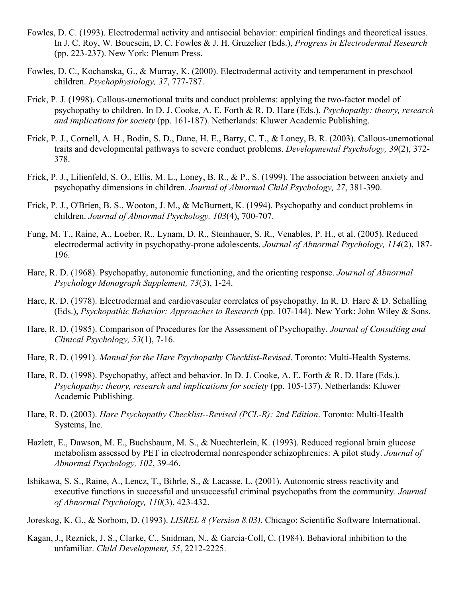- Fowles, D. C. (1993). Electrodermal activity and antisocial behavior: empirical findings and theoretical issues. In J. C. Roy, W. Boucsein, D. C. Fowles & J. H. Gruzelier (Eds.), *Progress in Electrodermal Research* (pp. 223-237). New York: Plenum Press.
- Fowles, D. C., Kochanska, G., & Murray, K. (2000). Electrodermal activity and temperament in preschool children. *Psychophysiology, 37*, 777-787.
- Frick, P. J. (1998). Callous-unemotional traits and conduct problems: applying the two-factor model of psychopathy to children. In D. J. Cooke, A. E. Forth & R. D. Hare (Eds.), *Psychopathy: theory, research and implications for society* (pp. 161-187). Netherlands: Kluwer Academic Publishing.
- Frick, P. J., Cornell, A. H., Bodin, S. D., Dane, H. E., Barry, C. T., & Loney, B. R. (2003). Callous-unemotional traits and developmental pathways to severe conduct problems. *Developmental Psychology, 39*(2), 372- 378.
- Frick, P. J., Lilienfeld, S. O., Ellis, M. L., Loney, B. R., & P., S. (1999). The association between anxiety and psychopathy dimensions in children. *Journal of Abnormal Child Psychology, 27*, 381-390.
- Frick, P. J., O'Brien, B. S., Wooton, J. M., & McBurnett, K. (1994). Psychopathy and conduct problems in children. *Journal of Abnormal Psychology, 103*(4), 700-707.
- Fung, M. T., Raine, A., Loeber, R., Lynam, D. R., Steinhauer, S. R., Venables, P. H., et al. (2005). Reduced electrodermal activity in psychopathy-prone adolescents. *Journal of Abnormal Psychology, 114*(2), 187- 196.
- Hare, R. D. (1968). Psychopathy, autonomic functioning, and the orienting response. *Journal of Abnormal Psychology Monograph Supplement, 73*(3), 1-24.
- Hare, R. D. (1978). Electrodermal and cardiovascular correlates of psychopathy. In R. D. Hare & D. Schalling (Eds.), *Psychopathic Behavior: Approaches to Research* (pp. 107-144). New York: John Wiley & Sons.
- Hare, R. D. (1985). Comparison of Procedures for the Assessment of Psychopathy. *Journal of Consulting and Clinical Psychology, 53*(1), 7-16.
- Hare, R. D. (1991). *Manual for the Hare Psychopathy Checklist-Revised*. Toronto: Multi-Health Systems.
- Hare, R. D. (1998). Psychopathy, affect and behavior. In D. J. Cooke, A. E. Forth & R. D. Hare (Eds.), *Psychopathy: theory, research and implications for society* (pp. 105-137). Netherlands: Kluwer Academic Publishing.
- Hare, R. D. (2003). *Hare Psychopathy Checklist--Revised (PCL-R): 2nd Edition*. Toronto: Multi-Health Systems, Inc.
- Hazlett, E., Dawson, M. E., Buchsbaum, M. S., & Nuechterlein, K. (1993). Reduced regional brain glucose metabolism assessed by PET in electrodermal nonresponder schizophrenics: A pilot study. *Journal of Abnormal Psychology, 102*, 39-46.
- Ishikawa, S. S., Raine, A., Lencz, T., Bihrle, S., & Lacasse, L. (2001). Autonomic stress reactivity and executive functions in successful and unsuccessful criminal psychopaths from the community. *Journal of Abnormal Psychology, 110*(3), 423-432.
- Joreskog, K. G., & Sorbom, D. (1993). *LISREL 8 (Version 8.03)*. Chicago: Scientific Software International.
- Kagan, J., Reznick, J. S., Clarke, C., Snidman, N., & Garcia-Coll, C. (1984). Behavioral inhibition to the unfamiliar. *Child Development, 55*, 2212-2225.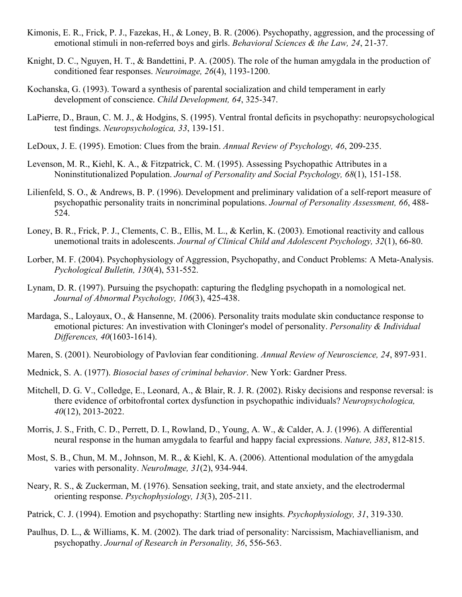- Kimonis, E. R., Frick, P. J., Fazekas, H., & Loney, B. R. (2006). Psychopathy, aggression, and the processing of emotional stimuli in non-referred boys and girls. *Behavioral Sciences & the Law, 24*, 21-37.
- Knight, D. C., Nguyen, H. T., & Bandettini, P. A. (2005). The role of the human amygdala in the production of conditioned fear responses. *Neuroimage, 26*(4), 1193-1200.
- Kochanska, G. (1993). Toward a synthesis of parental socialization and child temperament in early development of conscience. *Child Development, 64*, 325-347.
- LaPierre, D., Braun, C. M. J., & Hodgins, S. (1995). Ventral frontal deficits in psychopathy: neuropsychological test findings. *Neuropsychologica, 33*, 139-151.
- LeDoux, J. E. (1995). Emotion: Clues from the brain. *Annual Review of Psychology, 46*, 209-235.
- Levenson, M. R., Kiehl, K. A., & Fitzpatrick, C. M. (1995). Assessing Psychopathic Attributes in a Noninstitutionalized Population. *Journal of Personality and Social Psychology, 68*(1), 151-158.
- Lilienfeld, S. O., & Andrews, B. P. (1996). Development and preliminary validation of a self-report measure of psychopathic personality traits in noncriminal populations. *Journal of Personality Assessment, 66*, 488- 524.
- Loney, B. R., Frick, P. J., Clements, C. B., Ellis, M. L., & Kerlin, K. (2003). Emotional reactivity and callous unemotional traits in adolescents. *Journal of Clinical Child and Adolescent Psychology, 32*(1), 66-80.
- Lorber, M. F. (2004). Psychophysiology of Aggression, Psychopathy, and Conduct Problems: A Meta-Analysis. *Pychological Bulletin, 130*(4), 531-552.
- Lynam, D. R. (1997). Pursuing the psychopath: capturing the fledgling psychopath in a nomological net. *Journal of Abnormal Psychology, 106*(3), 425-438.
- Mardaga, S., Laloyaux, O., & Hansenne, M. (2006). Personality traits modulate skin conductance response to emotional pictures: An investivation with Cloninger's model of personality. *Personality & Individual Differences, 40*(1603-1614).
- Maren, S. (2001). Neurobiology of Pavlovian fear conditioning. *Annual Review of Neuroscience, 24*, 897-931.
- Mednick, S. A. (1977). *Biosocial bases of criminal behavior*. New York: Gardner Press.
- Mitchell, D. G. V., Colledge, E., Leonard, A., & Blair, R. J. R. (2002). Risky decisions and response reversal: is there evidence of orbitofrontal cortex dysfunction in psychopathic individuals? *Neuropsychologica, 40*(12), 2013-2022.
- Morris, J. S., Frith, C. D., Perrett, D. I., Rowland, D., Young, A. W., & Calder, A. J. (1996). A differential neural response in the human amygdala to fearful and happy facial expressions. *Nature, 383*, 812-815.
- Most, S. B., Chun, M. M., Johnson, M. R., & Kiehl, K. A. (2006). Attentional modulation of the amygdala varies with personality. *NeuroImage, 31*(2), 934-944.
- Neary, R. S., & Zuckerman, M. (1976). Sensation seeking, trait, and state anxiety, and the electrodermal orienting response. *Psychophysiology, 13*(3), 205-211.
- Patrick, C. J. (1994). Emotion and psychopathy: Startling new insights. *Psychophysiology, 31*, 319-330.
- Paulhus, D. L., & Williams, K. M. (2002). The dark triad of personality: Narcissism, Machiavellianism, and psychopathy. *Journal of Research in Personality, 36*, 556-563.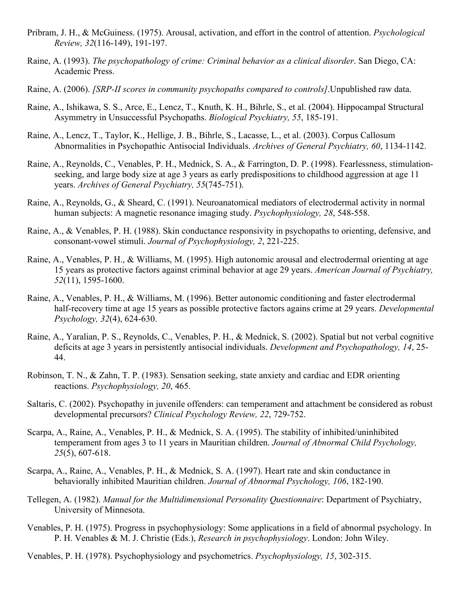- Pribram, J. H., & McGuiness. (1975). Arousal, activation, and effort in the control of attention. *Psychological Review, 32*(116-149), 191-197.
- Raine, A. (1993). *The psychopathology of crime: Criminal behavior as a clinical disorder*. San Diego, CA: Academic Press.
- Raine, A. (2006). *[SRP-II scores in community psychopaths compared to controls]*.Unpublished raw data.
- Raine, A., Ishikawa, S. S., Arce, E., Lencz, T., Knuth, K. H., Bihrle, S., et al. (2004). Hippocampal Structural Asymmetry in Unsuccessful Psychopaths. *Biological Psychiatry, 55*, 185-191.
- Raine, A., Lencz, T., Taylor, K., Hellige, J. B., Bihrle, S., Lacasse, L., et al. (2003). Corpus Callosum Abnormalities in Psychopathic Antisocial Individuals. *Archives of General Psychiatry, 60*, 1134-1142.
- Raine, A., Reynolds, C., Venables, P. H., Mednick, S. A., & Farrington, D. P. (1998). Fearlessness, stimulationseeking, and large body size at age 3 years as early predispositions to childhood aggression at age 11 years. *Archives of General Psychiatry, 55*(745-751).
- Raine, A., Reynolds, G., & Sheard, C. (1991). Neuroanatomical mediators of electrodermal activity in normal human subjects: A magnetic resonance imaging study. *Psychophysiology, 28*, 548-558.
- Raine, A., & Venables, P. H. (1988). Skin conductance responsivity in psychopaths to orienting, defensive, and consonant-vowel stimuli. *Journal of Psychophysiology, 2*, 221-225.
- Raine, A., Venables, P. H., & Williams, M. (1995). High autonomic arousal and electrodermal orienting at age 15 years as protective factors against criminal behavior at age 29 years. *American Journal of Psychiatry, 52*(11), 1595-1600.
- Raine, A., Venables, P. H., & Williams, M. (1996). Better autonomic conditioning and faster electrodermal half-recovery time at age 15 years as possible protective factors agains crime at 29 years. *Developmental Psychology, 32*(4), 624-630.
- Raine, A., Yaralian, P. S., Reynolds, C., Venables, P. H., & Mednick, S. (2002). Spatial but not verbal cognitive deficits at age 3 years in persistently antisocial individuals. *Development and Psychopathology, 14*, 25- 44.
- Robinson, T. N., & Zahn, T. P. (1983). Sensation seeking, state anxiety and cardiac and EDR orienting reactions. *Psychophysiology, 20*, 465.
- Saltaris, C. (2002). Psychopathy in juvenile offenders: can temperament and attachment be considered as robust developmental precursors? *Clinical Psychology Review, 22*, 729-752.
- Scarpa, A., Raine, A., Venables, P. H., & Mednick, S. A. (1995). The stability of inhibited/uninhibited temperament from ages 3 to 11 years in Mauritian children. *Journal of Abnormal Child Psychology, 25*(5), 607-618.
- Scarpa, A., Raine, A., Venables, P. H., & Mednick, S. A. (1997). Heart rate and skin conductance in behaviorally inhibited Mauritian children. *Journal of Abnormal Psychology, 106*, 182-190.
- Tellegen, A. (1982). *Manual for the Multidimensional Personality Questionnaire*: Department of Psychiatry, University of Minnesota.
- Venables, P. H. (1975). Progress in psychophysiology: Some applications in a field of abnormal psychology. In P. H. Venables & M. J. Christie (Eds.), *Research in psychophysiology*. London: John Wiley.
- Venables, P. H. (1978). Psychophysiology and psychometrics. *Psychophysiology, 15*, 302-315.